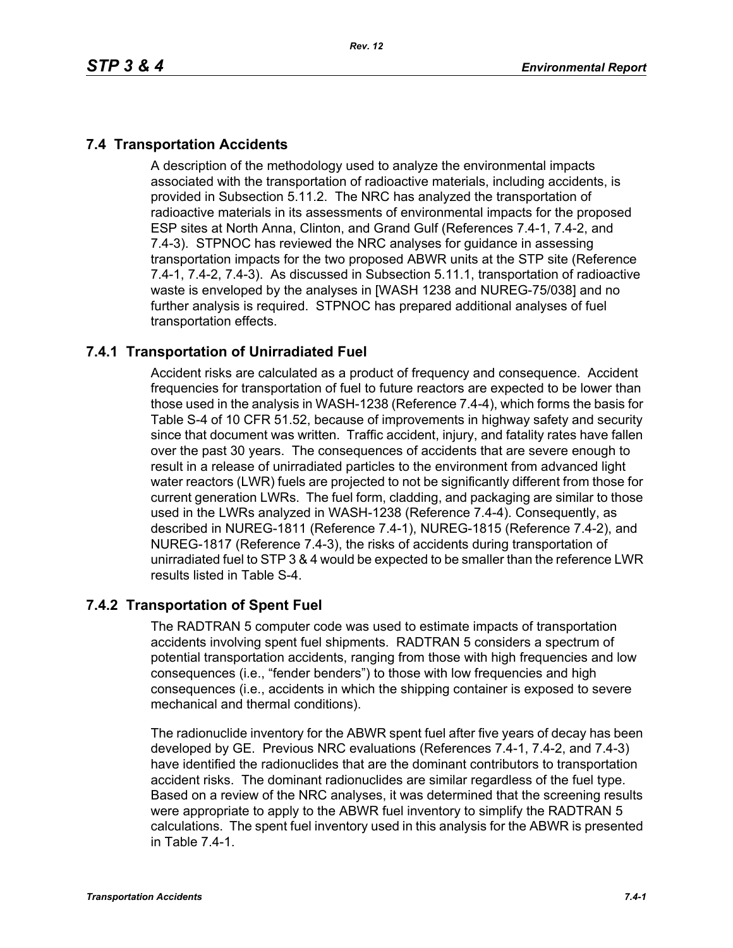# **7.4 Transportation Accidents**

A description of the methodology used to analyze the environmental impacts associated with the transportation of radioactive materials, including accidents, is provided in Subsection 5.11.2. The NRC has analyzed the transportation of radioactive materials in its assessments of environmental impacts for the proposed ESP sites at North Anna, Clinton, and Grand Gulf (References 7.4-1, 7.4-2, and 7.4-3). STPNOC has reviewed the NRC analyses for guidance in assessing transportation impacts for the two proposed ABWR units at the STP site (Reference 7.4-1, 7.4-2, 7.4-3). As discussed in Subsection 5.11.1, transportation of radioactive waste is enveloped by the analyses in [WASH 1238 and NUREG-75/038] and no further analysis is required. STPNOC has prepared additional analyses of fuel transportation effects.

# **7.4.1 Transportation of Unirradiated Fuel**

Accident risks are calculated as a product of frequency and consequence. Accident frequencies for transportation of fuel to future reactors are expected to be lower than those used in the analysis in WASH-1238 (Reference 7.4-4), which forms the basis for Table S-4 of 10 CFR 51.52, because of improvements in highway safety and security since that document was written. Traffic accident, injury, and fatality rates have fallen over the past 30 years. The consequences of accidents that are severe enough to result in a release of unirradiated particles to the environment from advanced light water reactors (LWR) fuels are projected to not be significantly different from those for current generation LWRs. The fuel form, cladding, and packaging are similar to those used in the LWRs analyzed in WASH-1238 (Reference 7.4-4). Consequently, as described in NUREG-1811 (Reference 7.4-1), NUREG-1815 (Reference 7.4-2), and NUREG-1817 (Reference 7.4-3), the risks of accidents during transportation of unirradiated fuel to STP 3 & 4 would be expected to be smaller than the reference LWR results listed in Table S-4.

### **7.4.2 Transportation of Spent Fuel**

The RADTRAN 5 computer code was used to estimate impacts of transportation accidents involving spent fuel shipments. RADTRAN 5 considers a spectrum of potential transportation accidents, ranging from those with high frequencies and low consequences (i.e., "fender benders") to those with low frequencies and high consequences (i.e., accidents in which the shipping container is exposed to severe mechanical and thermal conditions).

The radionuclide inventory for the ABWR spent fuel after five years of decay has been developed by GE. Previous NRC evaluations (References 7.4-1, 7.4-2, and 7.4-3) have identified the radionuclides that are the dominant contributors to transportation accident risks. The dominant radionuclides are similar regardless of the fuel type. Based on a review of the NRC analyses, it was determined that the screening results were appropriate to apply to the ABWR fuel inventory to simplify the RADTRAN 5 calculations. The spent fuel inventory used in this analysis for the ABWR is presented in Table 7.4-1.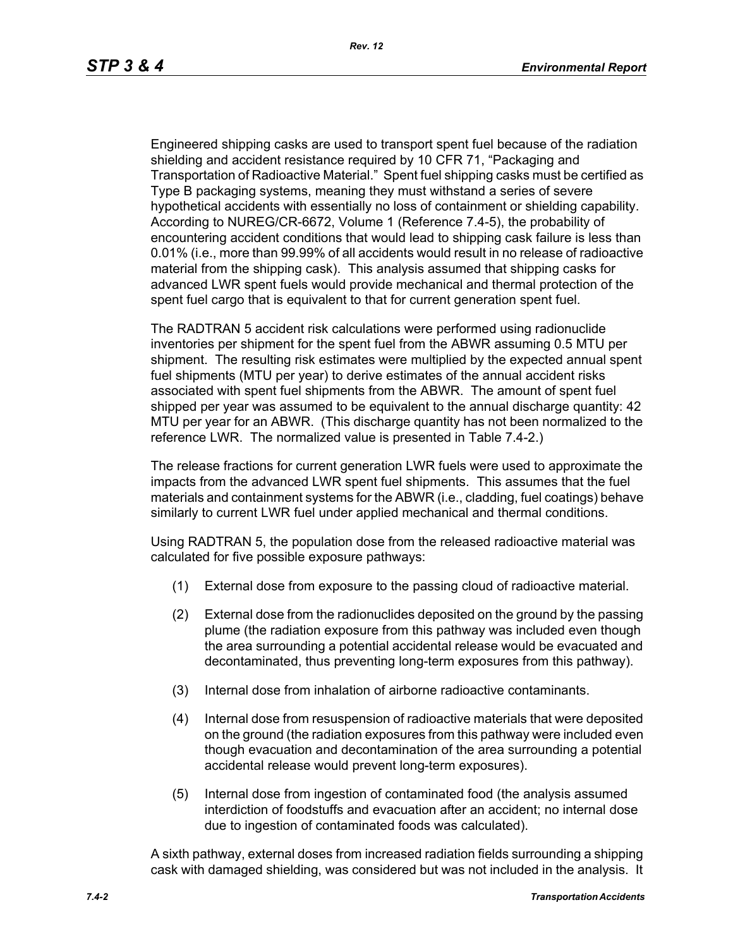Engineered shipping casks are used to transport spent fuel because of the radiation shielding and accident resistance required by 10 CFR 71, "Packaging and Transportation of Radioactive Material." Spent fuel shipping casks must be certified as Type B packaging systems, meaning they must withstand a series of severe hypothetical accidents with essentially no loss of containment or shielding capability. According to NUREG/CR-6672, Volume 1 (Reference 7.4-5), the probability of encountering accident conditions that would lead to shipping cask failure is less than 0.01% (i.e., more than 99.99% of all accidents would result in no release of radioactive material from the shipping cask). This analysis assumed that shipping casks for advanced LWR spent fuels would provide mechanical and thermal protection of the spent fuel cargo that is equivalent to that for current generation spent fuel.

The RADTRAN 5 accident risk calculations were performed using radionuclide inventories per shipment for the spent fuel from the ABWR assuming 0.5 MTU per shipment. The resulting risk estimates were multiplied by the expected annual spent fuel shipments (MTU per year) to derive estimates of the annual accident risks associated with spent fuel shipments from the ABWR. The amount of spent fuel shipped per year was assumed to be equivalent to the annual discharge quantity: 42 MTU per year for an ABWR. (This discharge quantity has not been normalized to the reference LWR. The normalized value is presented in Table 7.4-2.)

The release fractions for current generation LWR fuels were used to approximate the impacts from the advanced LWR spent fuel shipments. This assumes that the fuel materials and containment systems for the ABWR (i.e., cladding, fuel coatings) behave similarly to current LWR fuel under applied mechanical and thermal conditions.

Using RADTRAN 5, the population dose from the released radioactive material was calculated for five possible exposure pathways:

- (1) External dose from exposure to the passing cloud of radioactive material.
- (2) External dose from the radionuclides deposited on the ground by the passing plume (the radiation exposure from this pathway was included even though the area surrounding a potential accidental release would be evacuated and decontaminated, thus preventing long-term exposures from this pathway).
- (3) Internal dose from inhalation of airborne radioactive contaminants.
- (4) Internal dose from resuspension of radioactive materials that were deposited on the ground (the radiation exposures from this pathway were included even though evacuation and decontamination of the area surrounding a potential accidental release would prevent long-term exposures).
- (5) Internal dose from ingestion of contaminated food (the analysis assumed interdiction of foodstuffs and evacuation after an accident; no internal dose due to ingestion of contaminated foods was calculated).

A sixth pathway, external doses from increased radiation fields surrounding a shipping cask with damaged shielding, was considered but was not included in the analysis. It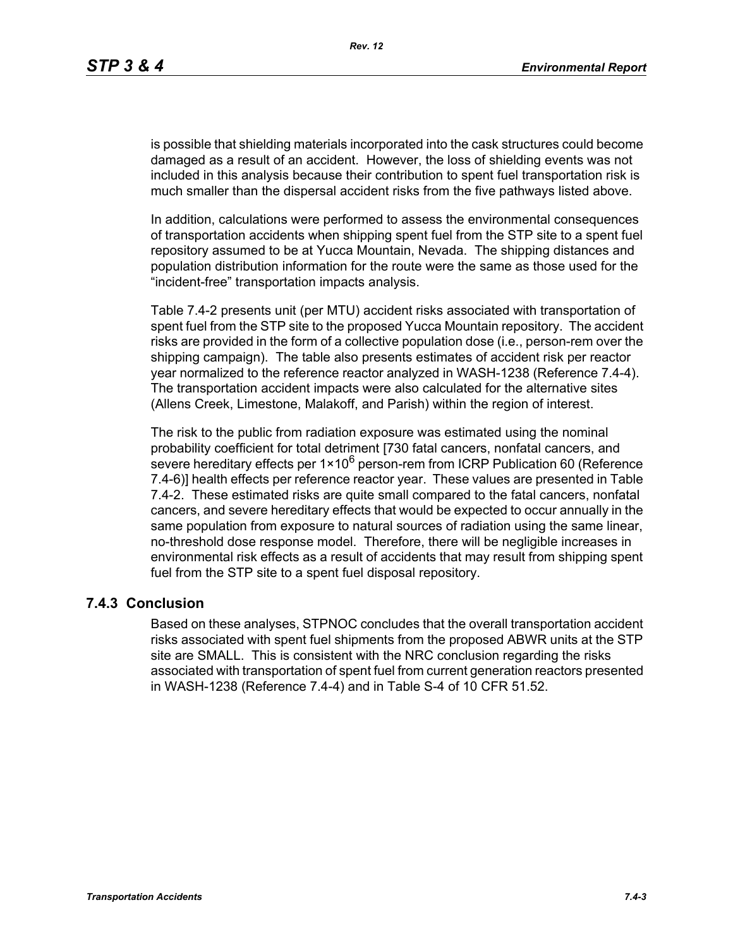is possible that shielding materials incorporated into the cask structures could become damaged as a result of an accident. However, the loss of shielding events was not included in this analysis because their contribution to spent fuel transportation risk is much smaller than the dispersal accident risks from the five pathways listed above.

In addition, calculations were performed to assess the environmental consequences of transportation accidents when shipping spent fuel from the STP site to a spent fuel repository assumed to be at Yucca Mountain, Nevada. The shipping distances and population distribution information for the route were the same as those used for the "incident-free" transportation impacts analysis.

Table 7.4-2 presents unit (per MTU) accident risks associated with transportation of spent fuel from the STP site to the proposed Yucca Mountain repository. The accident risks are provided in the form of a collective population dose (i.e., person-rem over the shipping campaign). The table also presents estimates of accident risk per reactor year normalized to the reference reactor analyzed in WASH-1238 (Reference 7.4-4). The transportation accident impacts were also calculated for the alternative sites (Allens Creek, Limestone, Malakoff, and Parish) within the region of interest.

The risk to the public from radiation exposure was estimated using the nominal probability coefficient for total detriment [730 fatal cancers, nonfatal cancers, and severe hereditary effects per  $1 \times 10^6$  person-rem from ICRP Publication 60 (Reference 7.4-6)] health effects per reference reactor year. These values are presented in Table 7.4-2. These estimated risks are quite small compared to the fatal cancers, nonfatal cancers, and severe hereditary effects that would be expected to occur annually in the same population from exposure to natural sources of radiation using the same linear, no-threshold dose response model. Therefore, there will be negligible increases in environmental risk effects as a result of accidents that may result from shipping spent fuel from the STP site to a spent fuel disposal repository.

#### **7.4.3 Conclusion**

Based on these analyses, STPNOC concludes that the overall transportation accident risks associated with spent fuel shipments from the proposed ABWR units at the STP site are SMALL. This is consistent with the NRC conclusion regarding the risks associated with transportation of spent fuel from current generation reactors presented in WASH-1238 (Reference 7.4-4) and in Table S-4 of 10 CFR 51.52.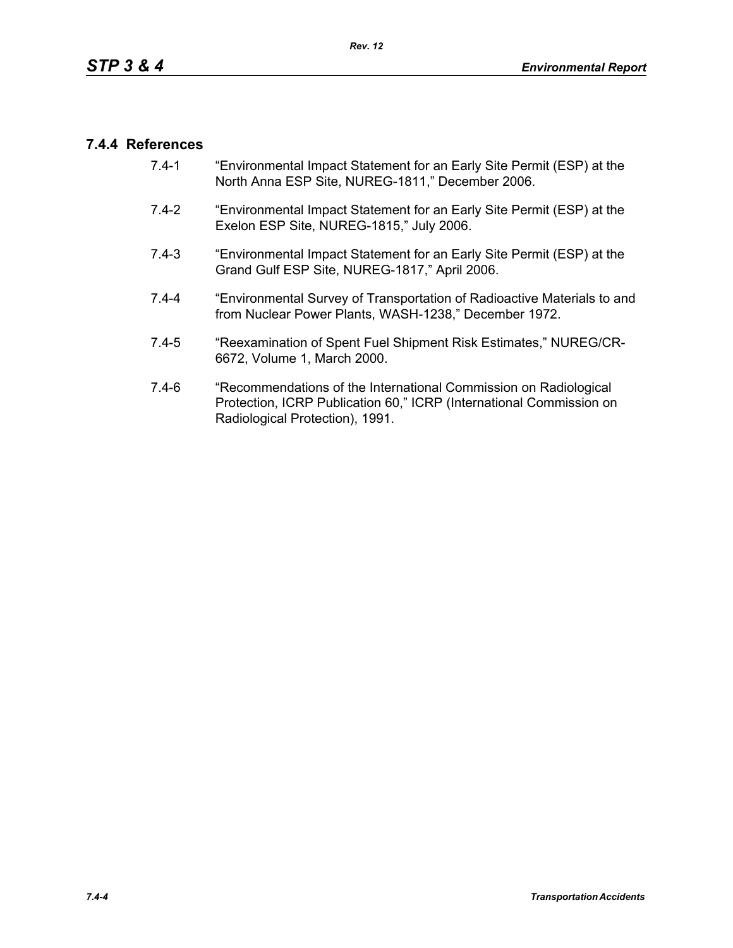### **7.4.4 References**

- 7.4-1 "Environmental Impact Statement for an Early Site Permit (ESP) at the North Anna ESP Site, NUREG-1811," December 2006.
- 7.4-2 "Environmental Impact Statement for an Early Site Permit (ESP) at the Exelon ESP Site, NUREG-1815," July 2006.
- 7.4-3 "Environmental Impact Statement for an Early Site Permit (ESP) at the Grand Gulf ESP Site, NUREG-1817," April 2006.
- 7.4-4 "Environmental Survey of Transportation of Radioactive Materials to and from Nuclear Power Plants, WASH-1238," December 1972.
- 7.4-5 "Reexamination of Spent Fuel Shipment Risk Estimates," NUREG/CR-6672, Volume 1, March 2000.
- 7.4-6 "Recommendations of the International Commission on Radiological Protection, ICRP Publication 60," ICRP (International Commission on Radiological Protection), 1991.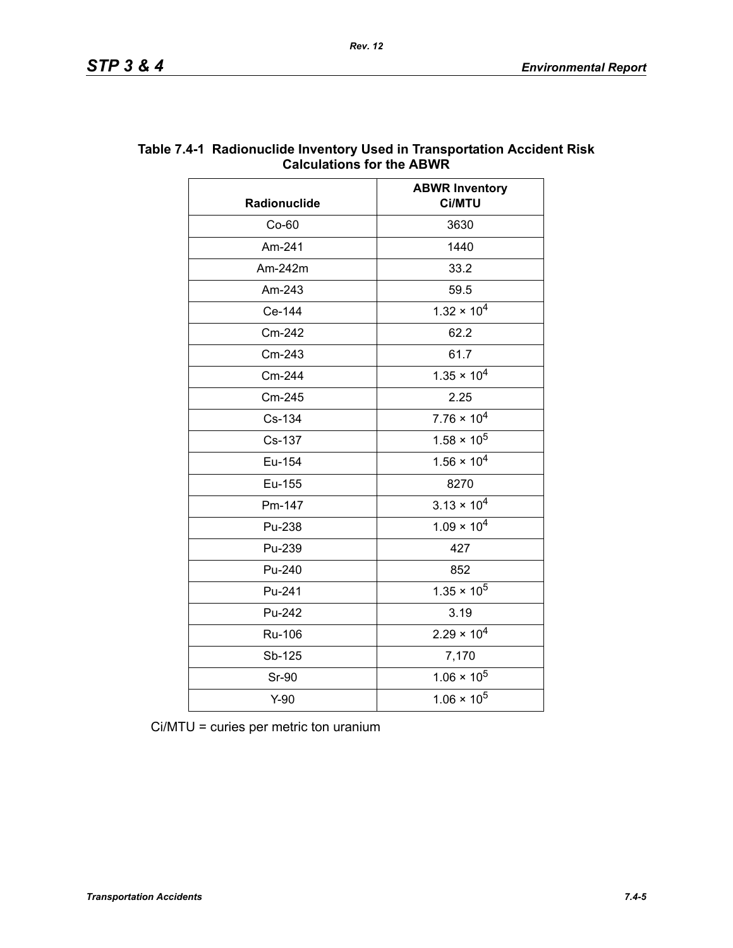| Radionuclide | <b>ABWR Inventory</b><br>Ci/MTU |  |
|--------------|---------------------------------|--|
| $Co-60$      | 3630                            |  |
| Am-241       | 1440                            |  |
| Am-242m      | 33.2                            |  |
| Am-243       | 59.5                            |  |
| Ce-144       | $1.32 \times 10^{4}$            |  |
| Cm-242       | 62.2                            |  |
| Cm-243       | 61.7                            |  |
| Cm-244       | $1.35 \times 10^{4}$            |  |
| Cm-245       | 2.25                            |  |
| Cs-134       | $7.76 \times 10^4$              |  |
| Cs-137       | $1.58 \times 10^5$              |  |
| Eu-154       | $1.56 \times 10^{4}$            |  |
| Eu-155       | 8270                            |  |
| Pm-147       | $3.13 \times 10^{4}$            |  |
| Pu-238       | $1.09 \times 10^{4}$            |  |
| Pu-239       | 427                             |  |
| Pu-240       | 852                             |  |
| Pu-241       | $1.35 \times 10^5$              |  |
| Pu-242       | 3.19                            |  |
| Ru-106       | $2.29 \times 10^{4}$            |  |
| Sb-125       | 7,170                           |  |
| <b>Sr-90</b> | $1.06 \times 10^5$              |  |
| $Y-90$       | $1.06 \times 10^5$              |  |

#### **Table 7.4-1 Radionuclide Inventory Used in Transportation Accident Risk Calculations for the ABWR**

Ci/MTU = curies per metric ton uranium